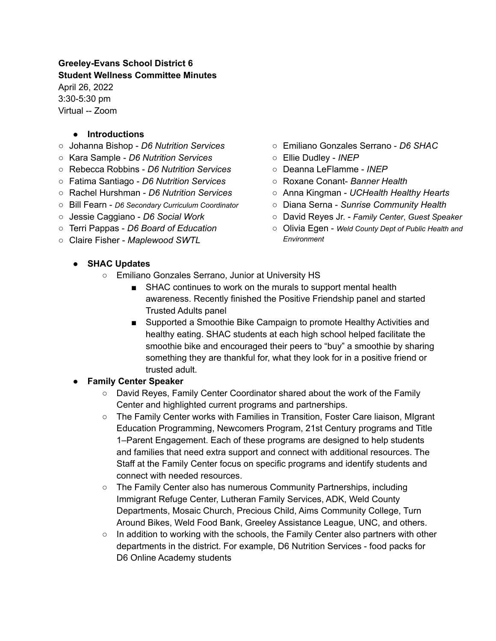#### **Greeley-Evans School District 6 Student Wellness Committee Minutes**

April 26, 2022 3:30-5:30 pm Virtual -- Zoom

#### **● Introductions**

- Johanna Bishop *D6 Nutrition Services*
- Kara Sample *D6 Nutrition Services*
- Rebecca Robbins *D6 Nutrition Services*
- Fatima Santiago *D6 Nutrition Services*
- Rachel Hurshman *D6 Nutrition Services*
- Bill Fearn *D6 Secondary Curriculum Coordinator*
- Jessie Caggiano *D6 Social Work*
- Terri Pappas *D6 Board of Education*
- Claire Fisher *Maplewood SWTL*
- Emiliano Gonzales Serrano *D6 SHAC*
- Ellie Dudley *INEP*
- Deanna LeFlamme *INEP*
- Roxane Conant- *Banner Health*
- Anna Kingman *UCHealth Healthy Hearts*
- Diana Serna *Sunrise Community Health*
- David Reyes Jr. *Family Center*, *Guest Speaker*
- Olivia Egen *Weld County Dept of Public Health and Environment*

- **● SHAC Updates**
	- Emiliano Gonzales Serrano, Junior at University HS
		- SHAC continues to work on the murals to support mental health awareness. Recently finished the Positive Friendship panel and started Trusted Adults panel
		- Supported a Smoothie Bike Campaign to promote Healthy Activities and healthy eating. SHAC students at each high school helped facilitate the smoothie bike and encouraged their peers to "buy" a smoothie by sharing something they are thankful for, what they look for in a positive friend or trusted adult.

## **● Family Center Speaker**

- David Reyes, Family Center Coordinator shared about the work of the Family Center and highlighted current programs and partnerships.
- The Family Center works with Families in Transition, Foster Care liaison, MIgrant Education Programming, Newcomers Program, 21st Century programs and Title 1–Parent Engagement. Each of these programs are designed to help students and families that need extra support and connect with additional resources. The Staff at the Family Center focus on specific programs and identify students and connect with needed resources.
- The Family Center also has numerous Community Partnerships, including Immigrant Refuge Center, Lutheran Family Services, ADK, Weld County Departments, Mosaic Church, Precious Child, Aims Community College, Turn Around Bikes, Weld Food Bank, Greeley Assistance League, UNC, and others.
- $\circ$  In addition to working with the schools, the Family Center also partners with other departments in the district. For example, D6 Nutrition Services - food packs for D6 Online Academy students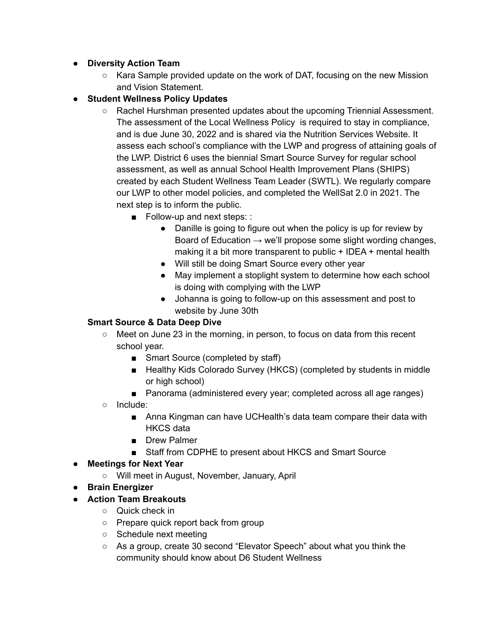- **● Diversity Action Team**
	- Kara Sample provided update on the work of DAT, focusing on the new Mission and Vision Statement.
- **● Student Wellness Policy Updates**
	- Rachel Hurshman presented updates about the upcoming Triennial Assessment. The assessment of the Local Wellness Policy is required to stay in compliance, and is due June 30, 2022 and is shared via the Nutrition Services Website. It assess each school's compliance with the LWP and progress of attaining goals of the LWP. District 6 uses the biennial Smart Source Survey for regular school assessment, as well as annual School Health Improvement Plans (SHIPS) created by each Student Wellness Team Leader (SWTL). We regularly compare our LWP to other model policies, and completed the WellSat 2.0 in 2021. The next step is to inform the public.
		- Follow-up and next steps: :
			- Danille is going to figure out when the policy is up for review by Board of Education  $\rightarrow$  we'll propose some slight wording changes, making it a bit more transparent to public + IDEA + mental health
			- Will still be doing Smart Source every other year
			- May implement a stoplight system to determine how each school is doing with complying with the LWP
			- Johanna is going to follow-up on this assessment and post to website by June 30th

## **Smart Source & Data Deep Dive**

- $\circ$  Meet on June 23 in the morning, in person, to focus on data from this recent school year.
	- Smart Source (completed by staff)
	- Healthy Kids Colorado Survey (HKCS) (completed by students in middle or high school)
	- Panorama (administered every year; completed across all age ranges)
- Include:
	- Anna Kingman can have UCHealth's data team compare their data with HKCS data
	- Drew Palmer
	- Staff from CDPHE to present about HKCS and Smart Source

## **● Meetings for Next Year**

- Will meet in August, November, January, April
- **● Brain Energizer**
- **● Action Team Breakouts**
	- $\circ$  Quick check in
	- Prepare quick report back from group
	- Schedule next meeting
	- As a group, create 30 second "Elevator Speech" about what you think the community should know about D6 Student Wellness